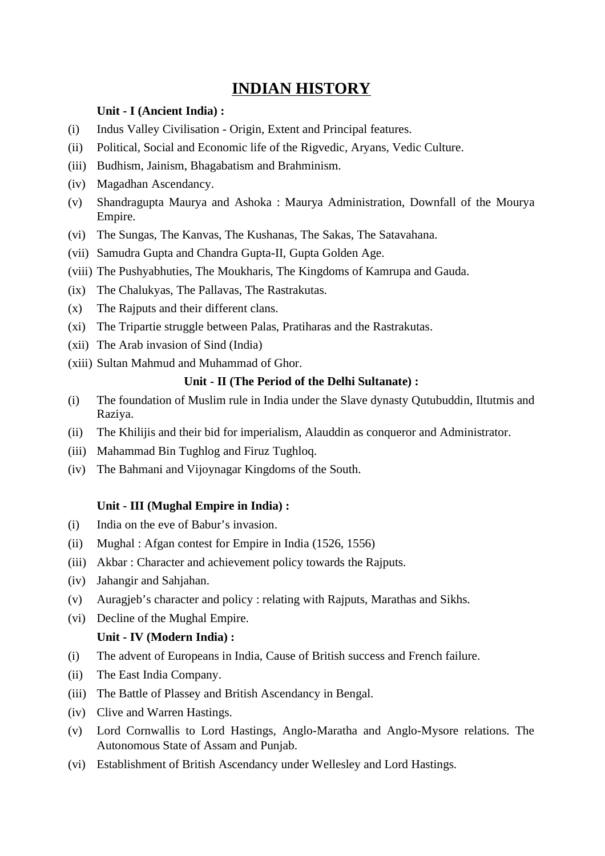# **INDIAN HISTORY**

### **Unit - I (Ancient India) :**

- (i) Indus Valley Civilisation Origin, Extent and Principal features.
- (ii) Political, Social and Economic life of the Rigvedic, Aryans, Vedic Culture.
- (iii) Budhism, Jainism, Bhagabatism and Brahminism.
- (iv) Magadhan Ascendancy.
- (v) Shandragupta Maurya and Ashoka : Maurya Administration, Downfall of the Mourya Empire.
- (vi) The Sungas, The Kanvas, The Kushanas, The Sakas, The Satavahana.
- (vii) Samudra Gupta and Chandra Gupta-II, Gupta Golden Age.
- (viii) The Pushyabhuties, The Moukharis, The Kingdoms of Kamrupa and Gauda.
- (ix) The Chalukyas, The Pallavas, The Rastrakutas.
- (x) The Rajputs and their different clans.
- (xi) The Tripartie struggle between Palas, Pratiharas and the Rastrakutas.
- (xii) The Arab invasion of Sind (India)
- (xiii) Sultan Mahmud and Muhammad of Ghor.

#### **Unit - II (The Period of the Delhi Sultanate) :**

- (i) The foundation of Muslim rule in India under the Slave dynasty Qutubuddin, Iltutmis and Raziya.
- (ii) The Khilijis and their bid for imperialism, Alauddin as conqueror and Administrator.
- (iii) Mahammad Bin Tughlog and Firuz Tughloq.
- (iv) The Bahmani and Vijoynagar Kingdoms of the South.

#### **Unit - III (Mughal Empire in India) :**

- (i) India on the eve of Babur's invasion.
- (ii) Mughal : Afgan contest for Empire in India (1526, 1556)
- (iii) Akbar : Character and achievement policy towards the Rajputs.
- (iv) Jahangir and Sahjahan.
- (v) Auragjeb's character and policy : relating with Rajputs, Marathas and Sikhs.
- (vi) Decline of the Mughal Empire.

## **Unit - IV (Modern India) :**

- (i) The advent of Europeans in India, Cause of British success and French failure.
- (ii) The East India Company.
- (iii) The Battle of Plassey and British Ascendancy in Bengal.
- (iv) Clive and Warren Hastings.
- (v) Lord Cornwallis to Lord Hastings, Anglo-Maratha and Anglo-Mysore relations. The Autonomous State of Assam and Punjab.
- (vi) Establishment of British Ascendancy under Wellesley and Lord Hastings.